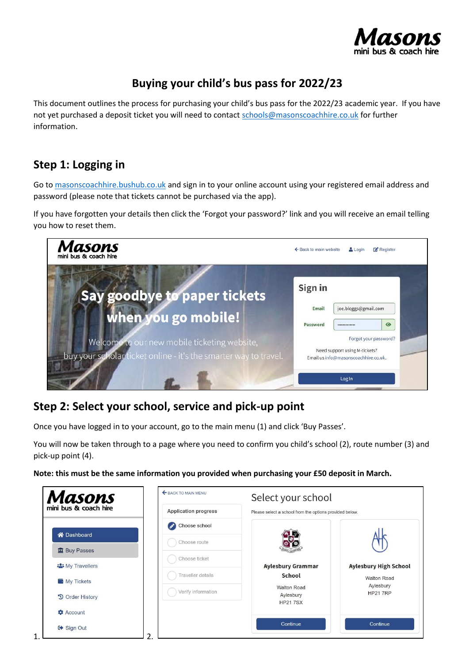

# **Buying your child's bus pass for 2022/23**

This document outlines the process for purchasing your child's bus pass for the 2022/23 academic year. If you have not yet purchased a deposit ticket you will need to contact [schools@masonscoachhire.co.uk](mailto:schools@masonscoachhire.co.uk) for further information.

### **Step 1: Logging in**

Go to [masonscoachhire.bushub.co.uk](https://masonscoachhire.bushub.co.uk/) and sign in to your online account using your registered email address and password (please note that tickets cannot be purchased via the app).

If you have forgotten your details then click the 'Forgot your password?' link and you will receive an email telling you how to reset them.



### **Step 2: Select your school, service and pick-up point**

Once you have logged in to your account, go to the main menu (1) and click 'Buy Passes'.

You will now be taken through to a page where you need to confirm you child's school (2), route number (3) and pick-up point (4).

**Note: this must be the same information you provided when purchasing your £50 deposit in March.**

| ← BACK TO MAIN MENU | Select your school<br>Please select a school from the options provided below. |                                 |  |
|---------------------|-------------------------------------------------------------------------------|---------------------------------|--|
| Choose school       |                                                                               |                                 |  |
| Choose route        |                                                                               |                                 |  |
| Choose ticket       |                                                                               |                                 |  |
|                     | <b>Aylesbury Grammar</b>                                                      | <b>Aylesbury High School</b>    |  |
|                     |                                                                               | <b>Walton Road</b><br>Aylesbury |  |
| Verify information  | Aylesbury<br><b>HP217SX</b>                                                   | <b>HP21 7RP</b>                 |  |
|                     |                                                                               |                                 |  |
|                     | Continue                                                                      | Continue                        |  |
|                     | <b>Application progress</b><br>Traveller details                              | School<br><b>Walton Road</b>    |  |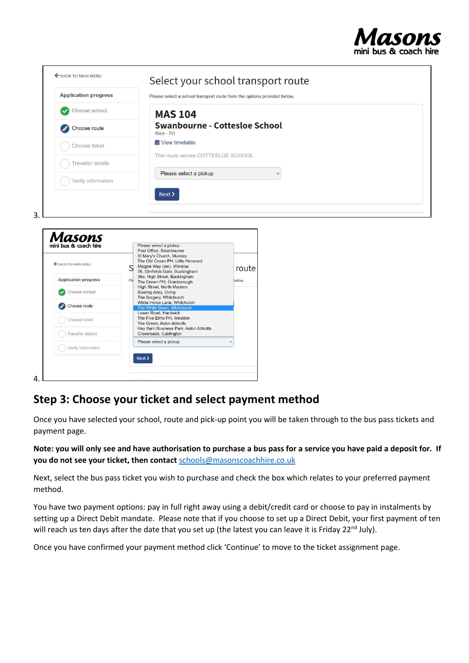

| <b>Application progress</b>        | Please select a school transport route from the options provided below.                                       |  |  |  |
|------------------------------------|---------------------------------------------------------------------------------------------------------------|--|--|--|
| Choose school                      | <b>MAS 104</b>                                                                                                |  |  |  |
| Choose route                       | <b>Swanbourne - Cottesloe School</b><br>Mon-Fri                                                               |  |  |  |
| Choose ticket                      | <b>前</b> View timetable                                                                                       |  |  |  |
| <b>Traveller</b> details           | This route serves COTTESLOE SCHOOL                                                                            |  |  |  |
| Verify information                 | Please select a pickup                                                                                        |  |  |  |
| Masons<br>mini bus & coach hire    | Please select a pickup<br>Post Office, Swanbourne                                                             |  |  |  |
|                                    |                                                                                                               |  |  |  |
|                                    | St Mary's Church, Mursley<br>The Old Crown PH, Little Horwood<br>Magpie Way (am), Winslow<br>route            |  |  |  |
| <b>Application progress</b><br>PI6 | 56, Elmfields Gate, Buckingham<br>36a, High Street, Buckingham<br>below.<br>The Crown PH, Granborough         |  |  |  |
| Choose school                      | High Street, North Marston<br>Bowling Alley, Oving                                                            |  |  |  |
| SACK TO MAIN MENU<br>Choose route  | The Surgery, Whitchurch<br>White Horse Lane, Whitchurch<br>The White Swan, Whitchurch<br>Lower Road, Hardwick |  |  |  |

## **Step 3: Choose your ticket and select payment method**

 $Next$ 

4.

Once you have selected your school, route and pick-up point you will be taken through to the bus pass tickets and payment page.

**Note: you will only see and have authorisation to purchase a bus pass for a service you have paid a deposit for. If you do not see your ticket, then contact** [schools@masonscoachhire.co.uk](mailto:schools@masonscoachhire.co.uk)

Next, select the bus pass ticket you wish to purchase and check the box which relates to your preferred payment method.

You have two payment options: pay in full right away using a debit/credit card or choose to pay in instalments by setting up a Direct Debit mandate. Please note that if you choose to set up a Direct Debit, your first payment of ten will reach us ten days after the date that you set up (the latest you can leave it is Friday 22<sup>nd</sup> July).

Once you have confirmed your payment method click 'Continue' to move to the ticket assignment page.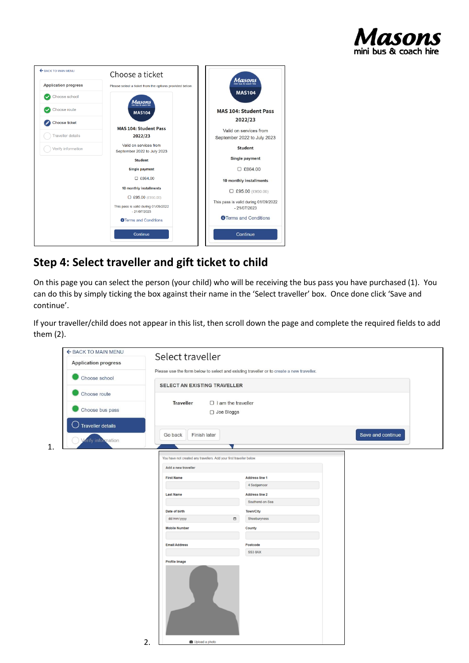



# **Step 4: Select traveller and gift ticket to child**

On this page you can select the person (your child) who will be receiving the bus pass you have purchased (1). You can do this by simply ticking the box against their name in the 'Select traveller' box. Once done click 'Save and continue'.

If your traveller/child does not appear in this list, then scroll down the page and complete the required fields to add them (2).

| ← BACK TO MAIN MENU                    | Select traveller                                                     |        |                                                                                          |                   |  |
|----------------------------------------|----------------------------------------------------------------------|--------|------------------------------------------------------------------------------------------|-------------------|--|
| <b>Application progress</b>            |                                                                      |        |                                                                                          |                   |  |
| Choose school                          |                                                                      |        | Please use the form below to select and existing traveller or to create a new traveller. |                   |  |
|                                        | SELECT AN EXISTING TRAVELLER                                         |        |                                                                                          |                   |  |
| Choose route                           |                                                                      |        |                                                                                          |                   |  |
| Choose bus pass                        | <b>Traveller</b><br>$\Box$ I am the traveller<br>□ Joe Bloggs        |        |                                                                                          |                   |  |
| Traveller details<br>- )               |                                                                      |        |                                                                                          |                   |  |
| <b><i><u>erify</u></i></b> information | Finish later<br>Go back                                              |        |                                                                                          | Save and continue |  |
|                                        |                                                                      |        |                                                                                          |                   |  |
|                                        | You have not created any travellers. Add your first traveller below. |        |                                                                                          |                   |  |
|                                        | Add a new traveller                                                  |        |                                                                                          |                   |  |
|                                        | <b>First Name</b>                                                    |        | <b>Address line 1</b>                                                                    |                   |  |
|                                        |                                                                      |        | 4 Sedgemoor                                                                              |                   |  |
|                                        | <b>Last Name</b>                                                     |        | <b>Address line 2</b>                                                                    |                   |  |
|                                        |                                                                      |        | Southend-on-Sea                                                                          |                   |  |
|                                        | Date of birth<br>dd/mm/yyyy                                          | $\Box$ | <b>Town/City</b><br>Shoeburyness                                                         |                   |  |
|                                        | <b>Mobile Number</b>                                                 |        | County                                                                                   |                   |  |
|                                        |                                                                      |        |                                                                                          |                   |  |
|                                        | <b>Email Address</b>                                                 |        | Postcode                                                                                 |                   |  |
|                                        |                                                                      |        | <b>SS3 8AX</b>                                                                           |                   |  |
|                                        | Profile Image                                                        |        |                                                                                          |                   |  |
|                                        | 2.<br><b>D</b> Upload a photo                                        |        |                                                                                          |                   |  |